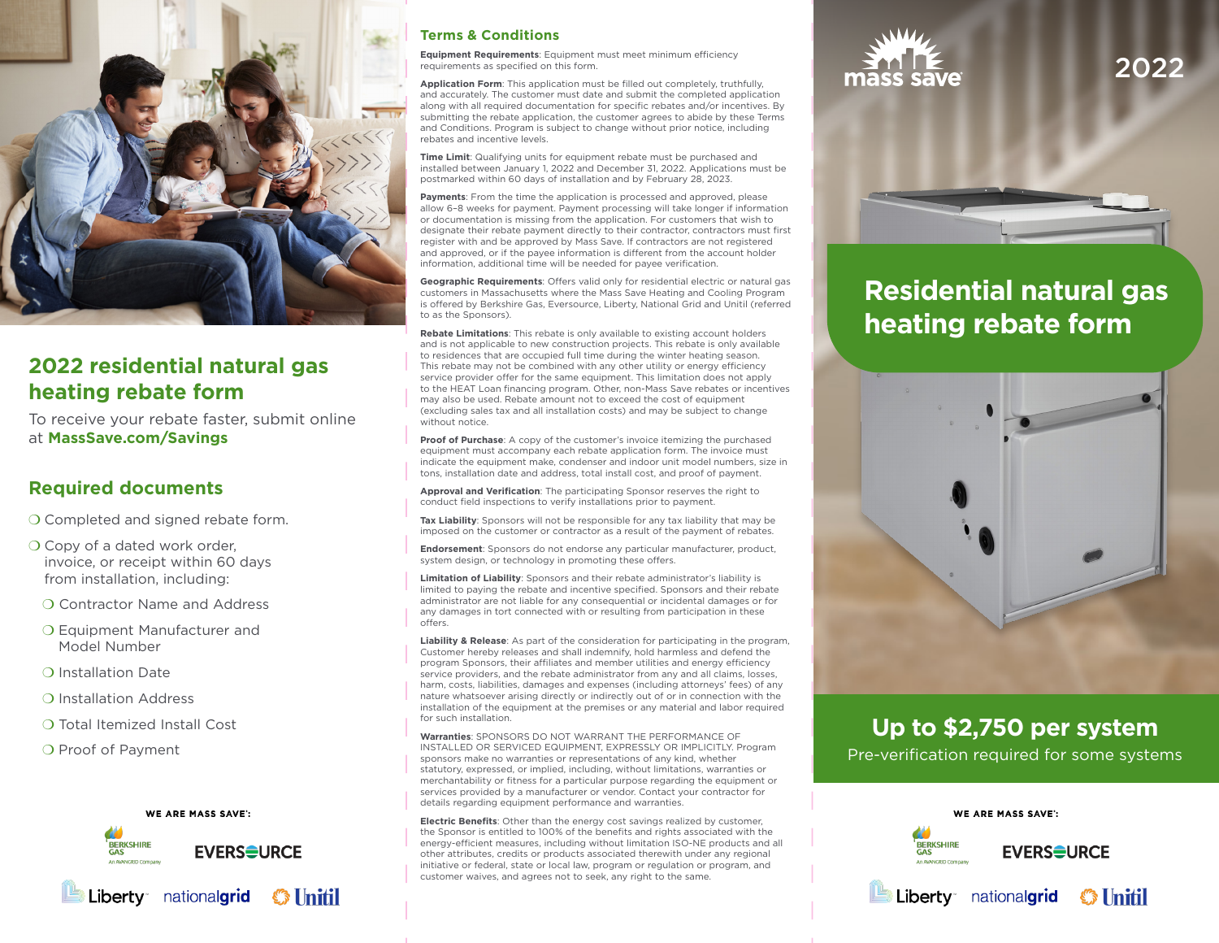

## **2022 residential natural gas heating rebate form**

To receive your rebate faster, submit online at **MassSave.com/Savings**

## **Required documents**

O Completed and signed rebate form.

- O Copy of a dated work order, invoice, or receipt within 60 days from installation, including:
- ❍ Contractor Name and Address
- ❍ Equipment Manufacturer and Model Number
- ❍ Installation Date
- ❍ Installation Address
- ❍ Total Itemized Install Cost
- ❍ Proof of Payment





### **Terms & Conditions**

**Equipment Requirements**: Equipment must meet minimum efficiency requirements as specified on this form.

**Application Form**: This application must be filled out completely, truthfully, and accurately. The customer must date and submit the completed application along with all required documentation for specific rebates and/or incentives. By submitting the rebate application, the customer agrees to abide by these Terms and Conditions. Program is subject to change without prior notice, including rebates and incentive levels.

**Time Limit**: Qualifying units for equipment rebate must be purchased and installed between January 1, 2022 and December 31, 2022. Applications must be postmarked within 60 days of installation and by February 28, 2023.

Payments: From the time the application is processed and approved, please allow 6–8 weeks for payment. Payment processing will take longer if information or documentation is missing from the application. For customers that wish to designate their rebate payment directly to their contractor, contractors must first register with and be approved by Mass Save. If contractors are not registered and approved, or if the payee information is different from the account holder information, additional time will be needed for payee verification.

**Geographic Requirements**: Offers valid only for residential electric or natural gas customers in Massachusetts where the Mass Save Heating and Cooling Program is offered by Berkshire Gas, Eversource, Liberty, National Grid and Unitil (referred to as the Sponsors).

**Rebate Limitations**: This rebate is only available to existing account holders and is not applicable to new construction projects. This rebate is only available to residences that are occupied full time during the winter heating season. This rebate may not be combined with any other utility or energy efficiency service provider offer for the same equipment. This limitation does not apply to the HEAT Loan financing program. Other, non-Mass Save rebates or incentives may also be used. Rebate amount not to exceed the cost of equipment (excluding sales tax and all installation costs) and may be subject to change without notice.

**Proof of Purchase:** A copy of the customer's invoice itemizing the purchased equipment must accompany each rebate application form. The invoice must indicate the equipment make, condenser and indoor unit model numbers, size in tons, installation date and address, total install cost, and proof of payment.

**Approval and Verification**: The participating Sponsor reserves the right to conduct field inspections to verify installations prior to payment.

**Tax Liability**: Sponsors will not be responsible for any tax liability that may be imposed on the customer or contractor as a result of the payment of rebates.

**Endorsement**: Sponsors do not endorse any particular manufacturer, product, system design, or technology in promoting these offers.

**Limitation of Liability**: Sponsors and their rebate administrator's liability is limited to paying the rebate and incentive specified. Sponsors and their rebate administrator are not liable for any consequential or incidental damages or for any damages in tort connected with or resulting from participation in these offers.

**Liability & Release**: As part of the consideration for participating in the program, Customer hereby releases and shall indemnify, hold harmless and defend the program Sponsors, their affiliates and member utilities and energy efficiency service providers, and the rebate administrator from any and all claims, losses, harm, costs, liabilities, damages and expenses (including attorneys' fees) of any nature whatsoever arising directly or indirectly out of or in connection with the installation of the equipment at the premises or any material and labor required for such installation.

**Warranties**: SPONSORS DO NOT WARRANT THE PERFORMANCE OF INSTALLED OR SERVICED EQUIPMENT, EXPRESSLY OR IMPLICITLY. Program sponsors make no warranties or representations of any kind, whether statutory, expressed, or implied, including, without limitations, warranties or merchantability or fitness for a particular purpose regarding the equipment or services provided by a manufacturer or vendor. Contact your contractor for details regarding equipment performance and warranties.

**Electric Benefits**: Other than the energy cost savings realized by customer, the Sponsor is entitled to 100% of the benefits and rights associated with the energy-efficient measures, including without limitation ISO-NE products and all other attributes, credits or products associated therewith under any regional initiative or federal, state or local law, program or regulation or program, and customer waives, and agrees not to seek, any right to the same.



# 2022

## **Residential natural gas heating rebate form**



## **Up to \$2,750 per system**

Pre-verification required for some systems

WE ARE MASS SAVE':